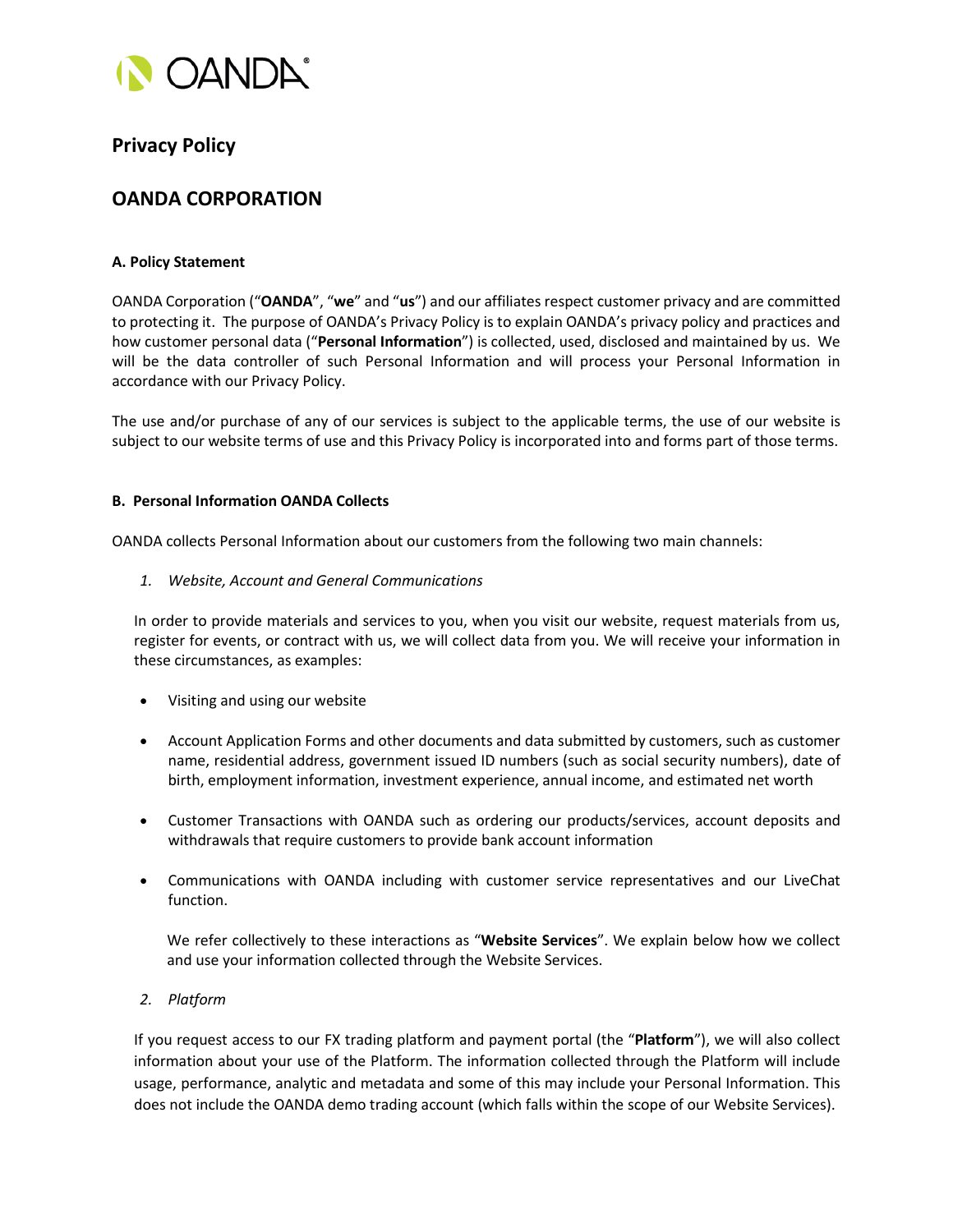

# **Privacy Policy**

# **OANDA CORPORATION**

# **A. Policy Statement**

OANDA Corporation ("**OANDA**", "**we**" and "**us**") and our affiliates respect customer privacy and are committed to protecting it. The purpose of OANDA's Privacy Policy is to explain OANDA's privacy policy and practices and how customer personal data ("**Personal Information**") is collected, used, disclosed and maintained by us. We will be the data controller of such Personal Information and will process your Personal Information in accordance with our Privacy Policy.

The use and/or purchase of any of our services is subject to the applicable terms, the use of our website is subject to our website terms of use and this Privacy Policy is incorporated into and forms part of those terms.

# **B. Personal Information OANDA Collects**

OANDA collects Personal Information about our customers from the following two main channels:

*1. Website, Account and General Communications*

In order to provide materials and services to you, when you visit our website, request materials from us, register for events, or contract with us, we will collect data from you. We will receive your information in these circumstances, as examples:

- Visiting and using our website
- Account Application Forms and other documents and data submitted by customers, such as customer name, residential address, government issued ID numbers (such as social security numbers), date of birth, employment information, investment experience, annual income, and estimated net worth
- Customer Transactions with OANDA such as ordering our products/services, account deposits and withdrawals that require customers to provide bank account information
- Communications with OANDA including with customer service representatives and our LiveChat function.

We refer collectively to these interactions as "**Website Services**". We explain below how we collect and use your information collected through the Website Services.

*2. Platform*

If you request access to our FX trading platform and payment portal (the "**Platform**"), we will also collect information about your use of the Platform. The information collected through the Platform will include usage, performance, analytic and metadata and some of this may include your Personal Information. This does not include the OANDA demo trading account (which falls within the scope of our Website Services).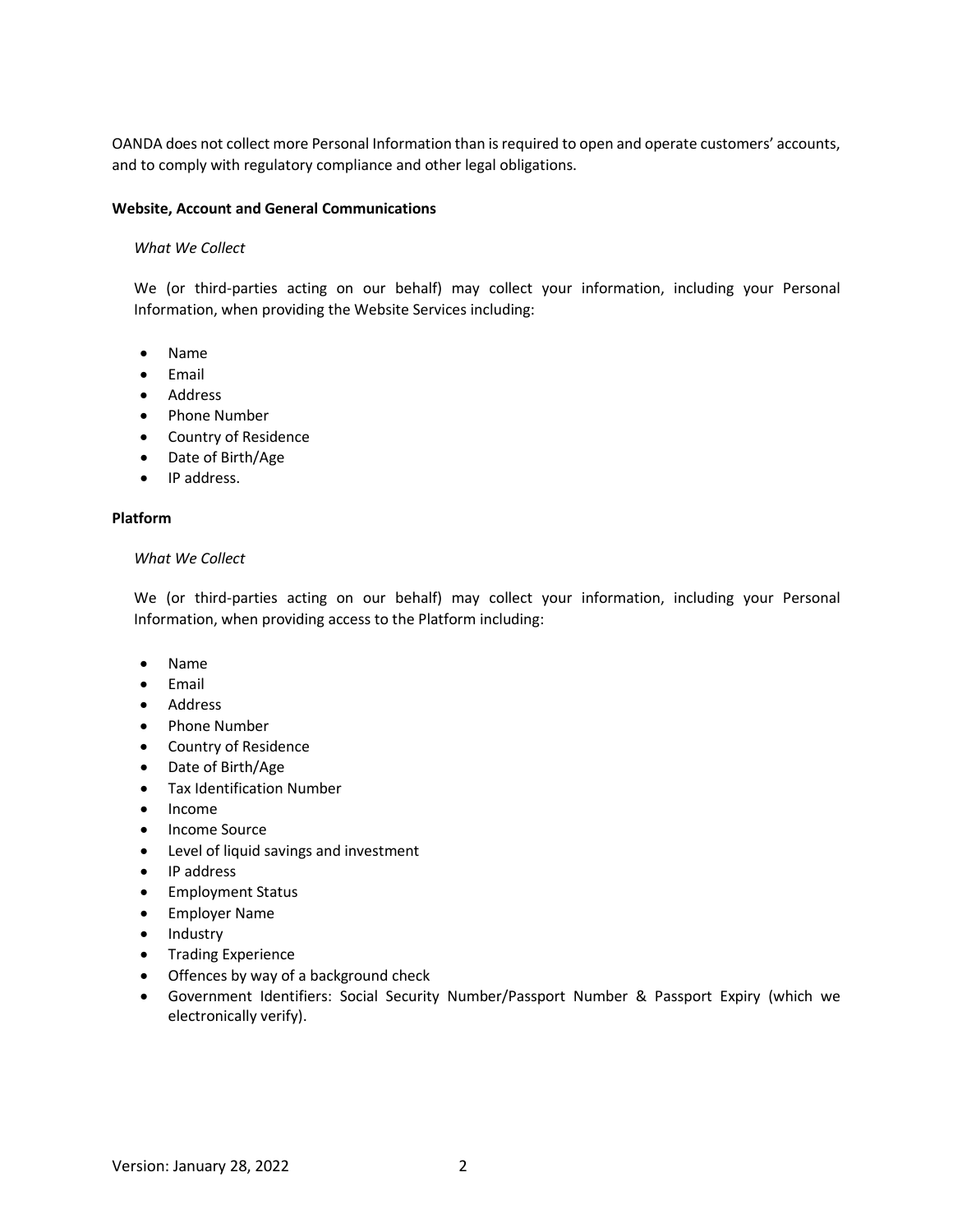OANDA does not collect more Personal Information than is required to open and operate customers' accounts, and to comply with regulatory compliance and other legal obligations.

#### **Website, Account and General Communications**

## *What We Collect*

We (or third-parties acting on our behalf) may collect your information, including your Personal Information, when providing the Website Services including:

- Name
- Email
- Address
- Phone Number
- Country of Residence
- Date of Birth/Age
- IP address.

#### **Platform**

#### *What We Collect*

We (or third-parties acting on our behalf) may collect your information, including your Personal Information, when providing access to the Platform including:

- Name
- Email
- Address
- Phone Number
- Country of Residence
- Date of Birth/Age
- Tax Identification Number
- Income
- Income Source
- Level of liquid savings and investment
- IP address
- Employment Status
- Employer Name
- Industry
- Trading Experience
- Offences by way of a background check
- Government Identifiers: Social Security Number/Passport Number & Passport Expiry (which we electronically verify).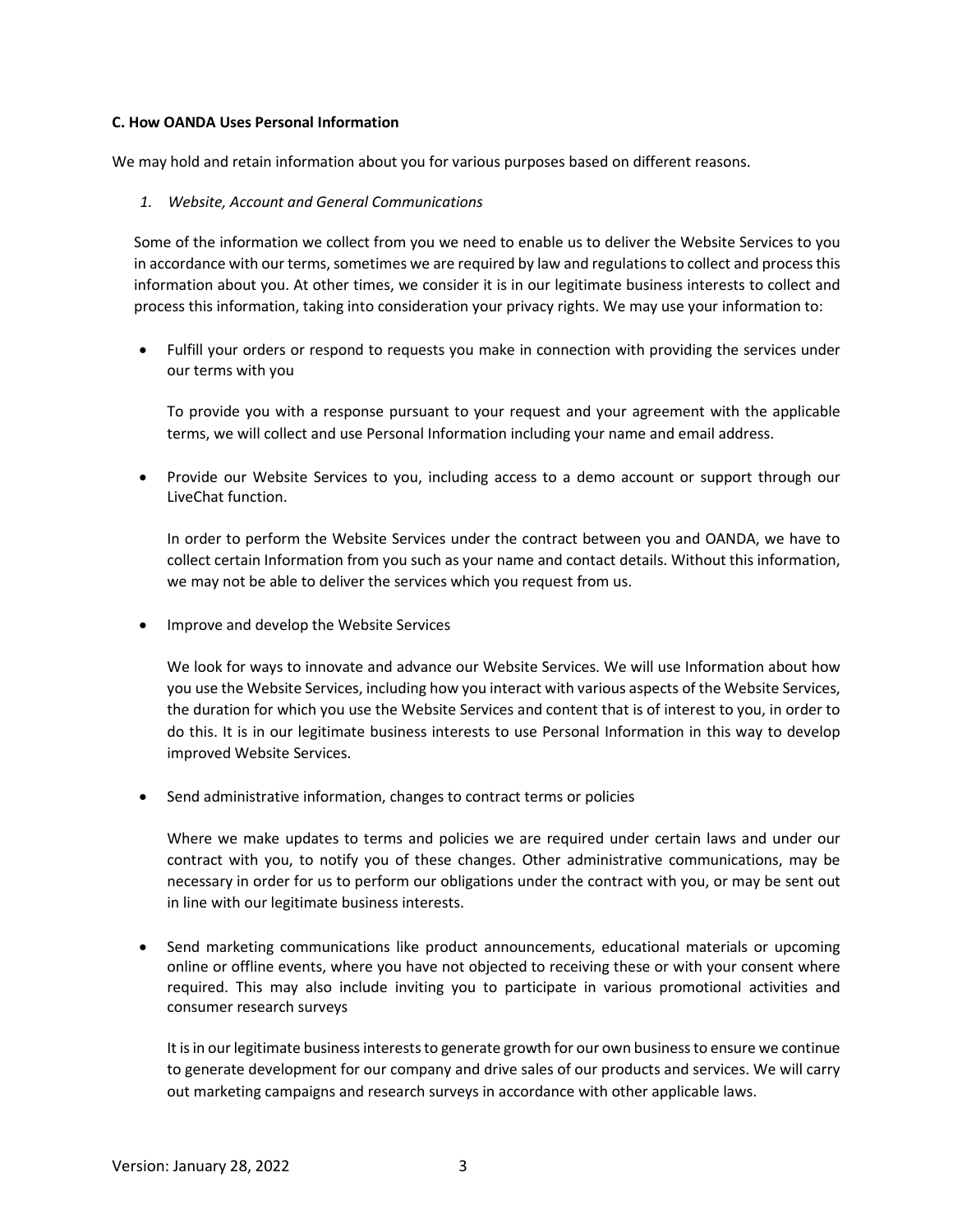## **C. How OANDA Uses Personal Information**

We may hold and retain information about you for various purposes based on different reasons.

## *1. Website, Account and General Communications*

Some of the information we collect from you we need to enable us to deliver the Website Services to you in accordance with our terms, sometimes we are required by law and regulations to collect and process this information about you. At other times, we consider it is in our legitimate business interests to collect and process this information, taking into consideration your privacy rights. We may use your information to:

• Fulfill your orders or respond to requests you make in connection with providing the services under our terms with you

To provide you with a response pursuant to your request and your agreement with the applicable terms, we will collect and use Personal Information including your name and email address.

• Provide our Website Services to you, including access to a demo account or support through our LiveChat function.

In order to perform the Website Services under the contract between you and OANDA, we have to collect certain Information from you such as your name and contact details. Without this information, we may not be able to deliver the services which you request from us.

• Improve and develop the Website Services

We look for ways to innovate and advance our Website Services. We will use Information about how you use the Website Services, including how you interact with various aspects of the Website Services, the duration for which you use the Website Services and content that is of interest to you, in order to do this. It is in our legitimate business interests to use Personal Information in this way to develop improved Website Services.

• Send administrative information, changes to contract terms or policies

Where we make updates to terms and policies we are required under certain laws and under our contract with you, to notify you of these changes. Other administrative communications, may be necessary in order for us to perform our obligations under the contract with you, or may be sent out in line with our legitimate business interests.

• Send marketing communications like product announcements, educational materials or upcoming online or offline events, where you have not objected to receiving these or with your consent where required. This may also include inviting you to participate in various promotional activities and consumer research surveys

It is in our legitimate business interests to generate growth for our own business to ensure we continue to generate development for our company and drive sales of our products and services. We will carry out marketing campaigns and research surveys in accordance with other applicable laws.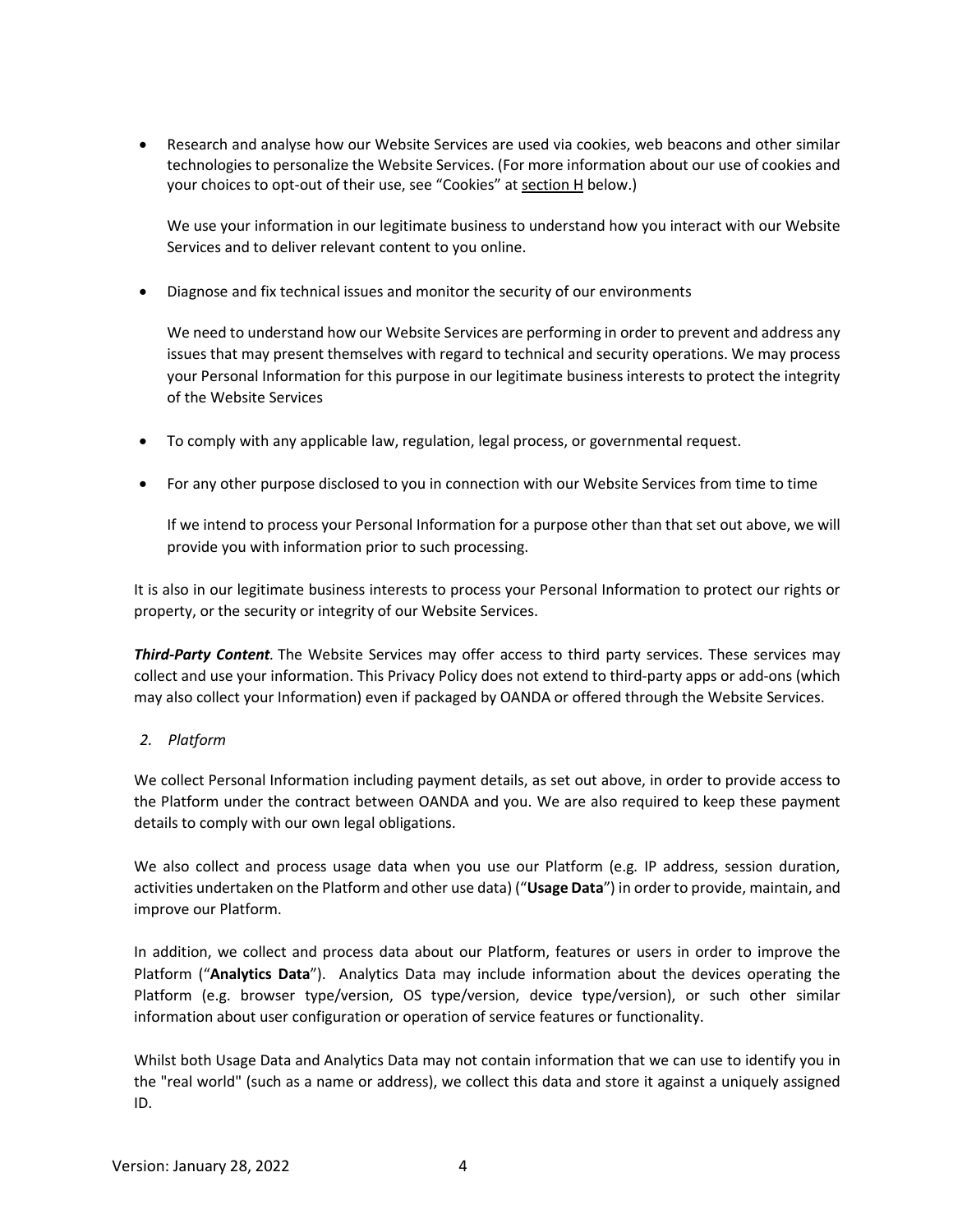• Research and analyse how our Website Services are used via cookies, web beacons and other similar technologies to personalize the Website Services. (For more information about our use of cookies and your choices to opt-out of their use, see "Cookies" at section H below.)

We use your information in our legitimate business to understand how you interact with our Website Services and to deliver relevant content to you online.

• Diagnose and fix technical issues and monitor the security of our environments

We need to understand how our Website Services are performing in order to prevent and address any issues that may present themselves with regard to technical and security operations. We may process your Personal Information for this purpose in our legitimate business interests to protect the integrity of the Website Services

- To comply with any applicable law, regulation, legal process, or governmental request.
- For any other purpose disclosed to you in connection with our Website Services from time to time

If we intend to process your Personal Information for a purpose other than that set out above, we will provide you with information prior to such processing.

It is also in our legitimate business interests to process your Personal Information to protect our rights or property, or the security or integrity of our Website Services.

*Third-Party Content.* The Website Services may offer access to third party services. These services may collect and use your information. This Privacy Policy does not extend to third-party apps or add-ons (which may also collect your Information) even if packaged by OANDA or offered through the Website Services.

# *2. Platform*

We collect Personal Information including payment details, as set out above, in order to provide access to the Platform under the contract between OANDA and you. We are also required to keep these payment details to comply with our own legal obligations.

We also collect and process usage data when you use our Platform (e.g*.* IP address, session duration, activities undertaken on the Platform and other use data) ("**Usage Data**") in order to provide, maintain, and improve our Platform.

In addition, we collect and process data about our Platform, features or users in order to improve the Platform ("**Analytics Data**"). Analytics Data may include information about the devices operating the Platform (e.g. browser type/version, OS type/version, device type/version), or such other similar information about user configuration or operation of service features or functionality.

Whilst both Usage Data and Analytics Data may not contain information that we can use to identify you in the "real world" (such as a name or address), we collect this data and store it against a uniquely assigned ID.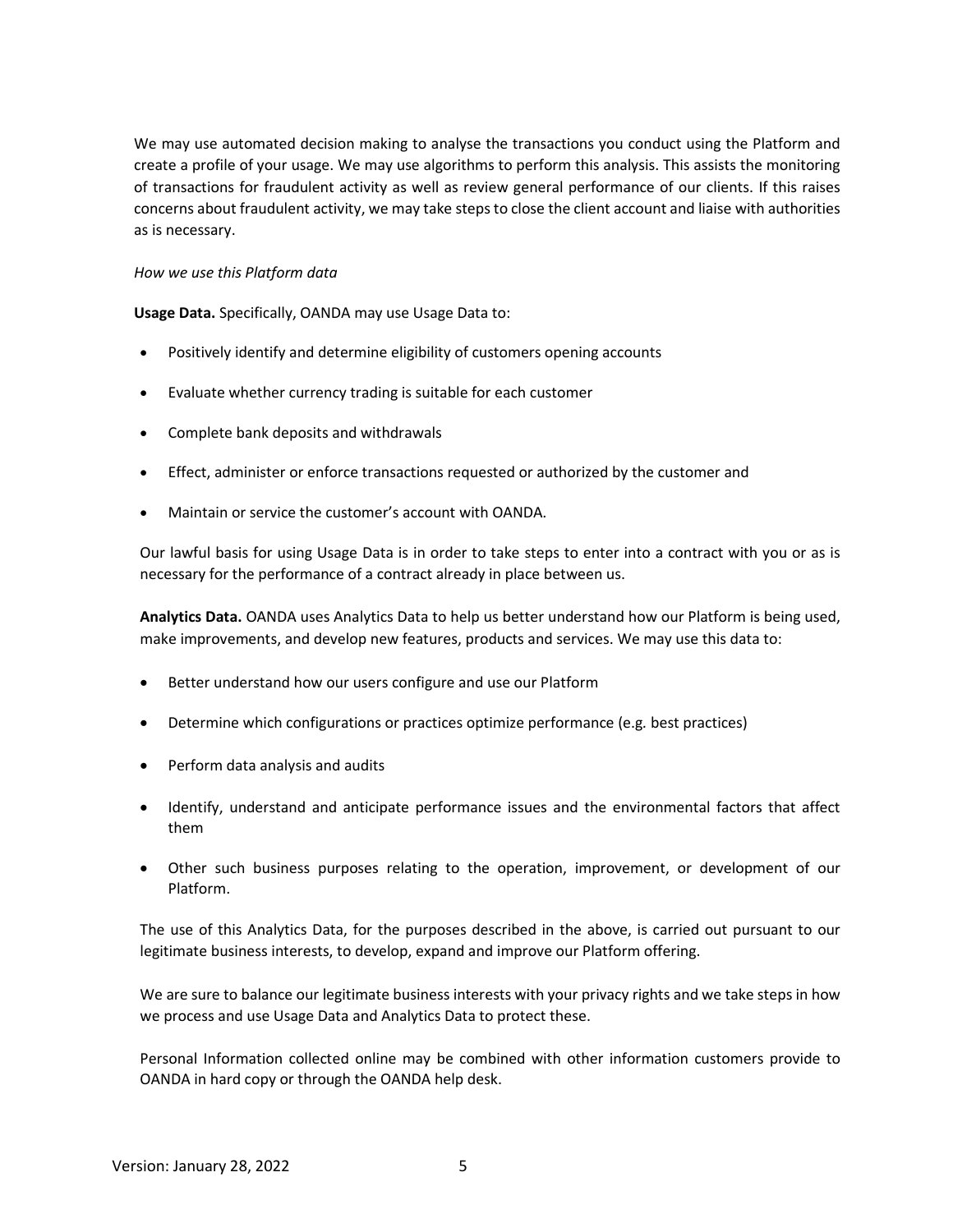We may use automated decision making to analyse the transactions you conduct using the Platform and create a profile of your usage. We may use algorithms to perform this analysis. This assists the monitoring of transactions for fraudulent activity as well as review general performance of our clients. If this raises concerns about fraudulent activity, we may take steps to close the client account and liaise with authorities as is necessary.

## *How we use this Platform data*

**Usage Data.** Specifically, OANDA may use Usage Data to:

- Positively identify and determine eligibility of customers opening accounts
- Evaluate whether currency trading is suitable for each customer
- Complete bank deposits and withdrawals
- Effect, administer or enforce transactions requested or authorized by the customer and
- Maintain or service the customer's account with OANDA.

Our lawful basis for using Usage Data is in order to take steps to enter into a contract with you or as is necessary for the performance of a contract already in place between us.

**Analytics Data.** OANDA uses Analytics Data to help us better understand how our Platform is being used, make improvements, and develop new features, products and services. We may use this data to:

- Better understand how our users configure and use our Platform
- Determine which configurations or practices optimize performance (e.g*.* best practices)
- Perform data analysis and audits
- Identify, understand and anticipate performance issues and the environmental factors that affect them
- Other such business purposes relating to the operation, improvement, or development of our Platform.

The use of this Analytics Data, for the purposes described in the above, is carried out pursuant to our legitimate business interests, to develop, expand and improve our Platform offering.

We are sure to balance our legitimate business interests with your privacy rights and we take steps in how we process and use Usage Data and Analytics Data to protect these.

Personal Information collected online may be combined with other information customers provide to OANDA in hard copy or through the OANDA help desk.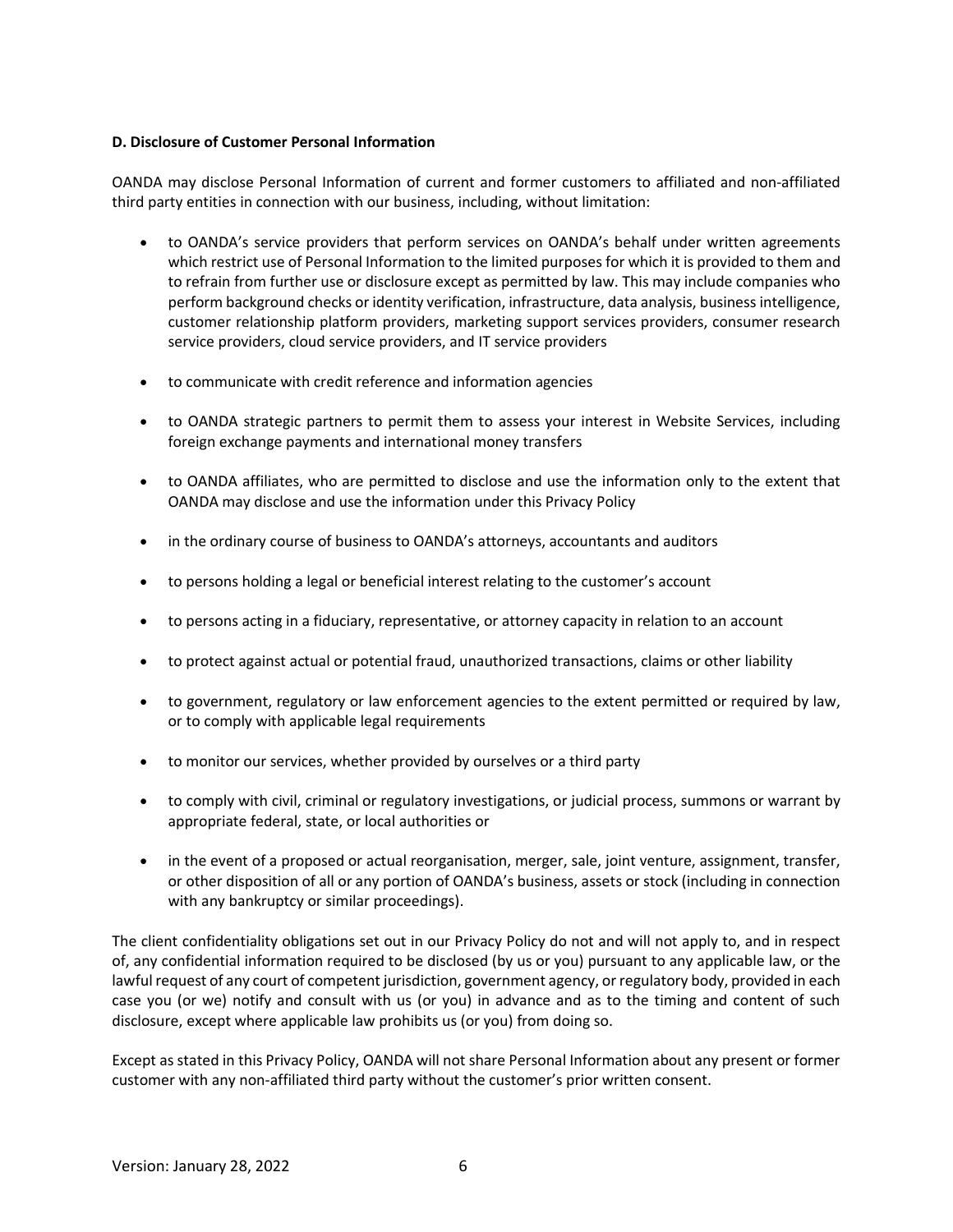# **D. Disclosure of Customer Personal Information**

OANDA may disclose Personal Information of current and former customers to affiliated and non-affiliated third party entities in connection with our business, including, without limitation:

- to OANDA's service providers that perform services on OANDA's behalf under written agreements which restrict use of Personal Information to the limited purposes for which it is provided to them and to refrain from further use or disclosure except as permitted by law. This may include companies who perform background checks or identity verification, infrastructure, data analysis, business intelligence, customer relationship platform providers, marketing support services providers, consumer research service providers, cloud service providers, and IT service providers
- to communicate with credit reference and information agencies
- to OANDA strategic partners to permit them to assess your interest in Website Services, including foreign exchange payments and international money transfers
- to OANDA affiliates, who are permitted to disclose and use the information only to the extent that OANDA may disclose and use the information under this Privacy Policy
- in the ordinary course of business to OANDA's attorneys, accountants and auditors
- to persons holding a legal or beneficial interest relating to the customer's account
- to persons acting in a fiduciary, representative, or attorney capacity in relation to an account
- to protect against actual or potential fraud, unauthorized transactions, claims or other liability
- to government, regulatory or law enforcement agencies to the extent permitted or required by law, or to comply with applicable legal requirements
- to monitor our services, whether provided by ourselves or a third party
- to comply with civil, criminal or regulatory investigations, or judicial process, summons or warrant by appropriate federal, state, or local authorities or
- in the event of a proposed or actual reorganisation, merger, sale, joint venture, assignment, transfer, or other disposition of all or any portion of OANDA's business, assets or stock (including in connection with any bankruptcy or similar proceedings).

The client confidentiality obligations set out in our Privacy Policy do not and will not apply to, and in respect of, any confidential information required to be disclosed (by us or you) pursuant to any applicable law, or the lawful request of any court of competent jurisdiction, government agency, or regulatory body, provided in each case you (or we) notify and consult with us (or you) in advance and as to the timing and content of such disclosure, except where applicable law prohibits us (or you) from doing so.

Except as stated in this Privacy Policy, OANDA will not share Personal Information about any present or former customer with any non-affiliated third party without the customer's prior written consent.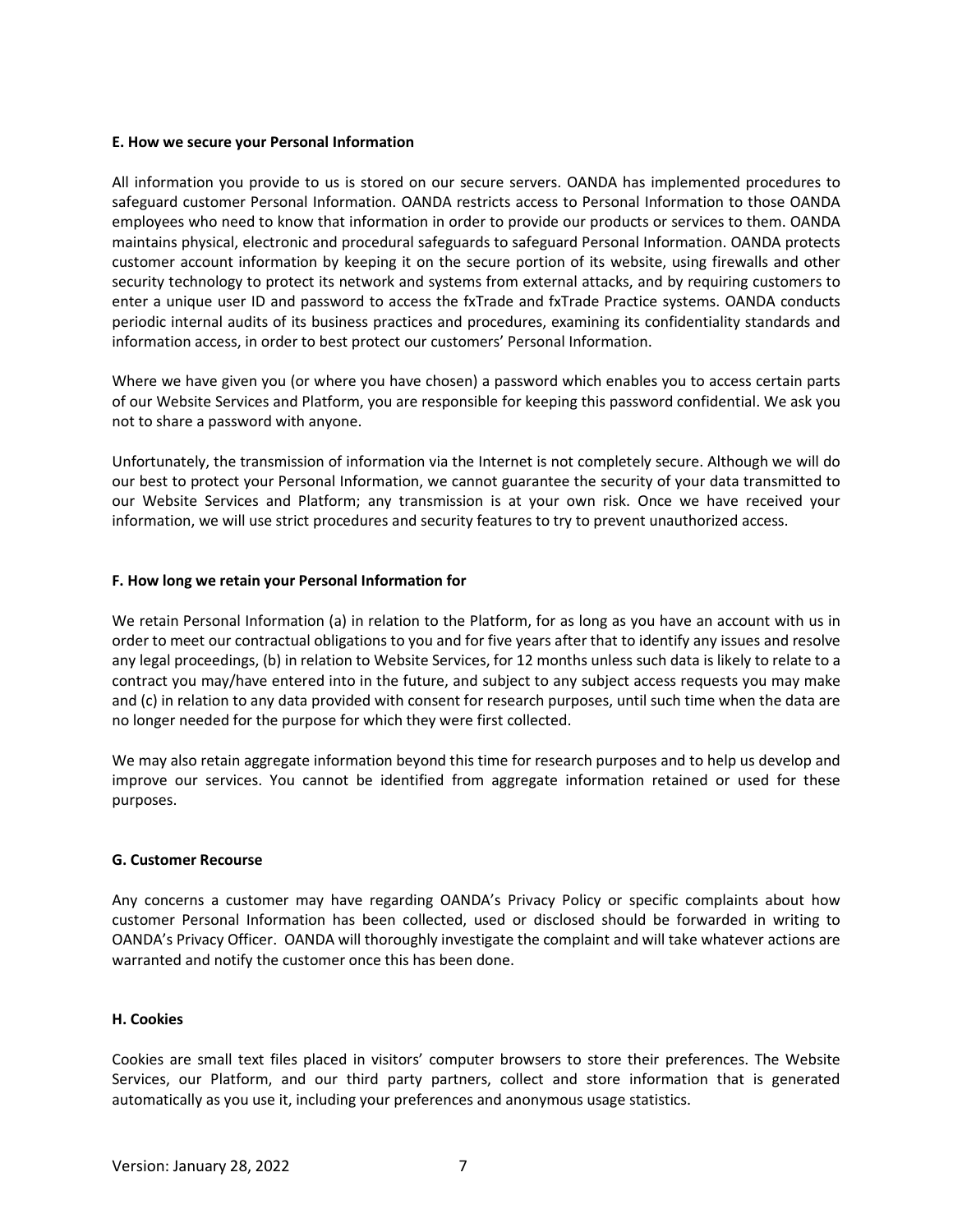#### **E. How we secure your Personal Information**

All information you provide to us is stored on our secure servers. OANDA has implemented procedures to safeguard customer Personal Information. OANDA restricts access to Personal Information to those OANDA employees who need to know that information in order to provide our products or services to them. OANDA maintains physical, electronic and procedural safeguards to safeguard Personal Information. OANDA protects customer account information by keeping it on the secure portion of its website, using firewalls and other security technology to protect its network and systems from external attacks, and by requiring customers to enter a unique user ID and password to access the fxTrade and fxTrade Practice systems. OANDA conducts periodic internal audits of its business practices and procedures, examining its confidentiality standards and information access, in order to best protect our customers' Personal Information.

Where we have given you (or where you have chosen) a password which enables you to access certain parts of our Website Services and Platform, you are responsible for keeping this password confidential. We ask you not to share a password with anyone.

Unfortunately, the transmission of information via the Internet is not completely secure. Although we will do our best to protect your Personal Information, we cannot guarantee the security of your data transmitted to our Website Services and Platform; any transmission is at your own risk. Once we have received your information, we will use strict procedures and security features to try to prevent unauthorized access.

## **F. How long we retain your Personal Information for**

We retain Personal Information (a) in relation to the Platform, for as long as you have an account with us in order to meet our contractual obligations to you and for five years after that to identify any issues and resolve any legal proceedings, (b) in relation to Website Services, for 12 months unless such data is likely to relate to a contract you may/have entered into in the future, and subject to any subject access requests you may make and (c) in relation to any data provided with consent for research purposes, until such time when the data are no longer needed for the purpose for which they were first collected.

We may also retain aggregate information beyond this time for research purposes and to help us develop and improve our services. You cannot be identified from aggregate information retained or used for these purposes.

## **G. Customer Recourse**

Any concerns a customer may have regarding OANDA's Privacy Policy or specific complaints about how customer Personal Information has been collected, used or disclosed should be forwarded in writing to OANDA's Privacy Officer. OANDA will thoroughly investigate the complaint and will take whatever actions are warranted and notify the customer once this has been done.

#### **H. Cookies**

Cookies are small text files placed in visitors' computer browsers to store their preferences. The Website Services, our Platform, and our third party partners, collect and store information that is generated automatically as you use it, including your preferences and anonymous usage statistics.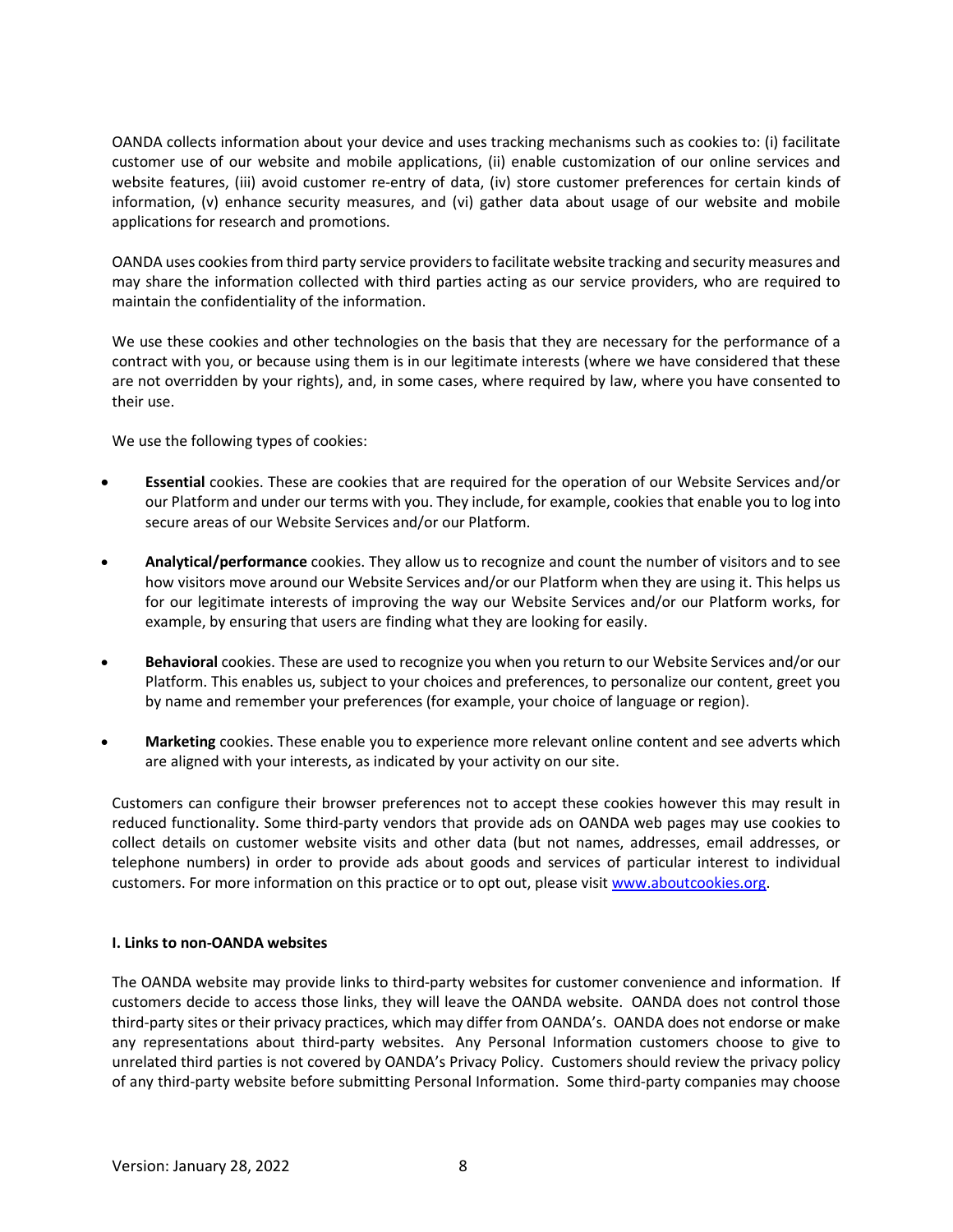OANDA collects information about your device and uses tracking mechanisms such as cookies to: (i) facilitate customer use of our website and mobile applications, (ii) enable customization of our online services and website features, (iii) avoid customer re-entry of data, (iv) store customer preferences for certain kinds of information, (v) enhance security measures, and (vi) gather data about usage of our website and mobile applications for research and promotions.

OANDA uses cookies from third party service providers to facilitate website tracking and security measures and may share the information collected with third parties acting as our service providers, who are required to maintain the confidentiality of the information.

We use these cookies and other technologies on the basis that they are necessary for the performance of a contract with you, or because using them is in our legitimate interests (where we have considered that these are not overridden by your rights), and, in some cases, where required by law, where you have consented to their use.

We use the following types of cookies:

- **Essential** cookies. These are cookies that are required for the operation of our Website Services and/or our Platform and under our terms with you. They include, for example, cookies that enable you to log into secure areas of our Website Services and/or our Platform.
- **Analytical/performance** cookies. They allow us to recognize and count the number of visitors and to see how visitors move around our Website Services and/or our Platform when they are using it. This helps us for our legitimate interests of improving the way our Website Services and/or our Platform works, for example, by ensuring that users are finding what they are looking for easily.
- **Behavioral** cookies. These are used to recognize you when you return to our Website Services and/or our Platform. This enables us, subject to your choices and preferences, to personalize our content, greet you by name and remember your preferences (for example, your choice of language or region).
- **Marketing** cookies. These enable you to experience more relevant online content and see adverts which are aligned with your interests, as indicated by your activity on our site.

Customers can configure their browser preferences not to accept these cookies however this may result in reduced functionality. Some third-party vendors that provide ads on OANDA web pages may use cookies to collect details on customer website visits and other data (but not names, addresses, email addresses, or telephone numbers) in order to provide ads about goods and services of particular interest to individual customers. For more information on this practice or to opt out, please visit [www.aboutcookies.org.](http://www.aboutcookies.org/)

# **I. Links to non-OANDA websites**

The OANDA website may provide links to third-party websites for customer convenience and information. If customers decide to access those links, they will leave the OANDA website. OANDA does not control those third-party sites or their privacy practices, which may differ from OANDA's. OANDA does not endorse or make any representations about third-party websites. Any Personal Information customers choose to give to unrelated third parties is not covered by OANDA's Privacy Policy. Customers should review the privacy policy of any third-party website before submitting Personal Information. Some third-party companies may choose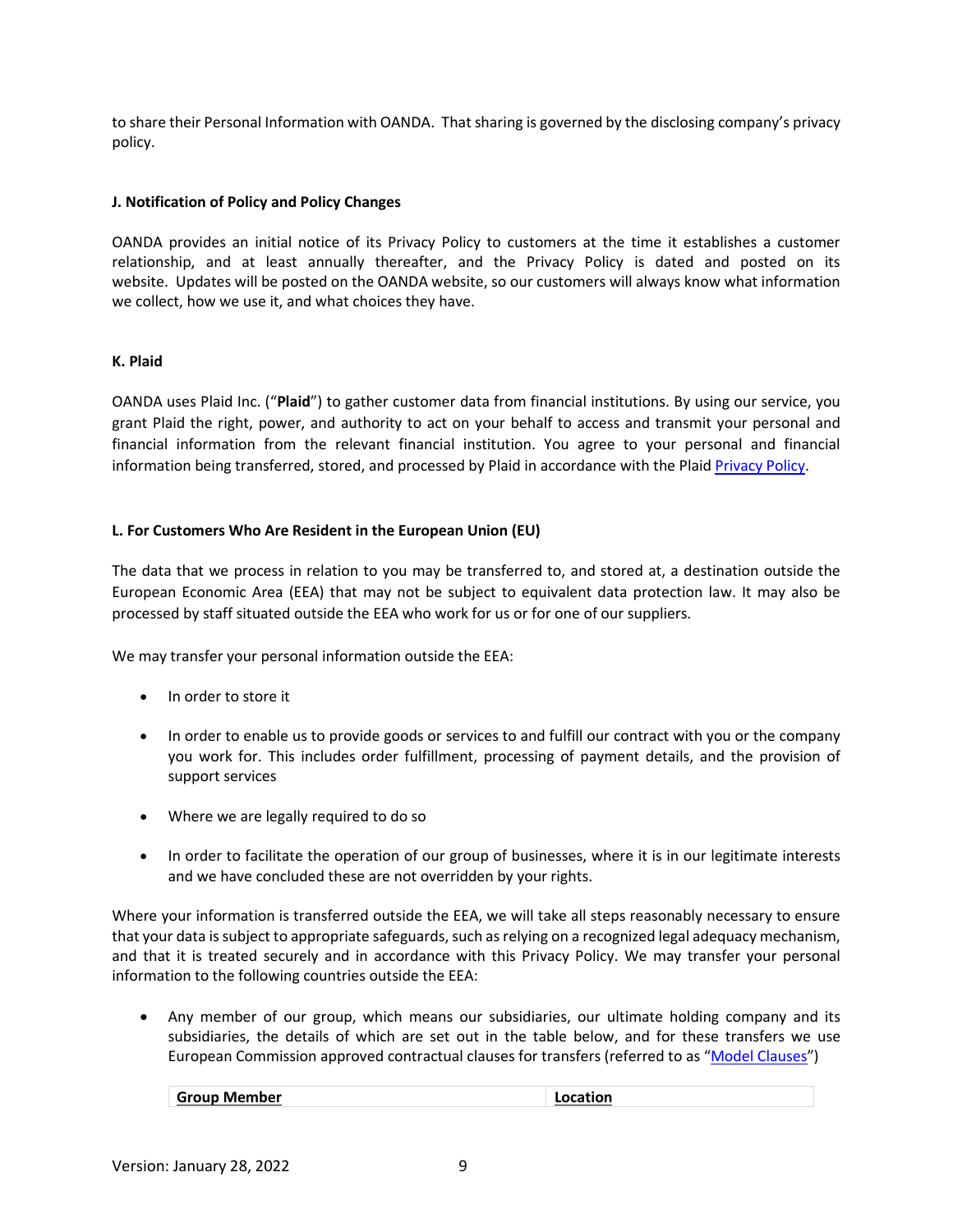to share their Personal Information with OANDA. That sharing is governed by the disclosing company's privacy policy.

## **J. Notification of Policy and Policy Changes**

OANDA provides an initial notice of its Privacy Policy to customers at the time it establishes a customer relationship, and at least annually thereafter, and the Privacy Policy is dated and posted on its website. Updates will be posted on the OANDA website, so our customers will always know what information we collect, how we use it, and what choices they have.

# **K. Plaid**

OANDA uses Plaid Inc. ("**Plaid**") to gather customer data from financial institutions. By using our service, you grant Plaid the right, power, and authority to act on your behalf to access and transmit your personal and financial information from the relevant financial institution. You agree to your personal and financial information being transferred, stored, and processed by Plaid in accordance with the Plai[d Privacy Policy.](https://plaid.com/legal)

# **L. For Customers Who Are Resident in the European Union (EU)**

The data that we process in relation to you may be transferred to, and stored at, a destination outside the European Economic Area (EEA) that may not be subject to equivalent data protection law. It may also be processed by staff situated outside the EEA who work for us or for one of our suppliers.

We may transfer your personal information outside the EEA:

- In order to store it
- In order to enable us to provide goods or services to and fulfill our contract with you or the company you work for. This includes order fulfillment, processing of payment details, and the provision of support services
- Where we are legally required to do so
- In order to facilitate the operation of our group of businesses, where it is in our legitimate interests and we have concluded these are not overridden by your rights.

Where your information is transferred outside the EEA, we will take all steps reasonably necessary to ensure that your data is subject to appropriate safeguards, such as relying on a recognized legal adequacy mechanism, and that it is treated securely and in accordance with this Privacy Policy. We may transfer your personal information to the following countries outside the EEA:

• Any member of our group, which means our subsidiaries, our ultimate holding company and its subsidiaries, the details of which are set out in the table below, and for these transfers we use European Commission approved contractual clauses for transfers (referred to as ["Model Clauses"](https://ec.europa.eu/info/law/law-topic/data-protection/data-transfers-outside-eu/model-contracts-transfer-personal-data-third-countries_en))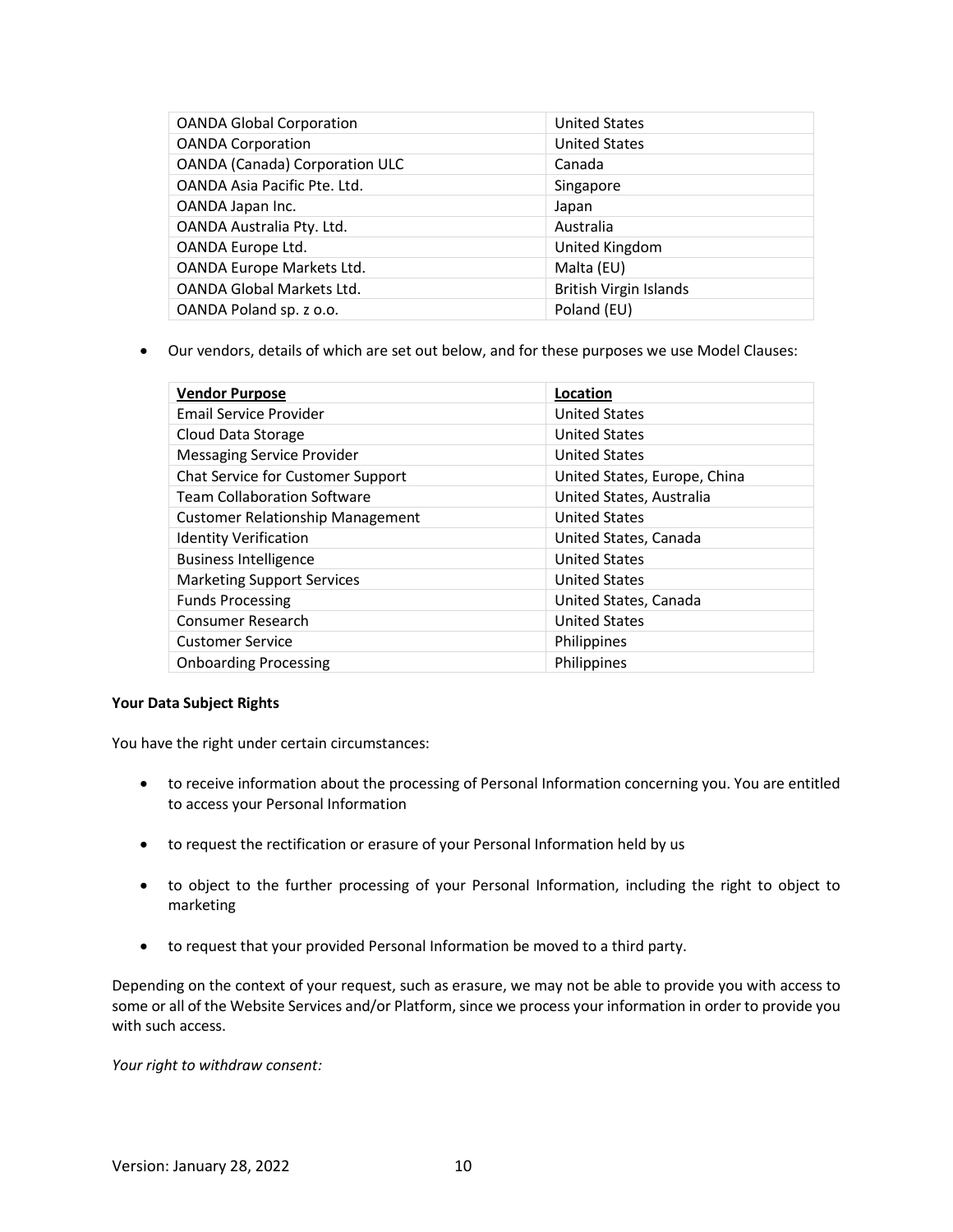| <b>OANDA Global Corporation</b>       | <b>United States</b>          |
|---------------------------------------|-------------------------------|
| <b>OANDA Corporation</b>              | <b>United States</b>          |
| <b>OANDA (Canada) Corporation ULC</b> | Canada                        |
| OANDA Asia Pacific Pte. Ltd.          | Singapore                     |
| OANDA Japan Inc.                      | Japan                         |
| OANDA Australia Pty. Ltd.             | Australia                     |
| OANDA Europe Ltd.                     | United Kingdom                |
| OANDA Europe Markets Ltd.             | Malta (EU)                    |
| OANDA Global Markets Ltd.             | <b>British Virgin Islands</b> |
| OANDA Poland sp. z o.o.               | Poland (EU)                   |

• Our vendors, details of which are set out below, and for these purposes we use Model Clauses:

| <b>Vendor Purpose</b>                   | Location                     |
|-----------------------------------------|------------------------------|
| Email Service Provider                  | <b>United States</b>         |
| Cloud Data Storage                      | <b>United States</b>         |
| <b>Messaging Service Provider</b>       | <b>United States</b>         |
| Chat Service for Customer Support       | United States, Europe, China |
| <b>Team Collaboration Software</b>      | United States, Australia     |
| <b>Customer Relationship Management</b> | <b>United States</b>         |
| <b>Identity Verification</b>            | United States, Canada        |
| <b>Business Intelligence</b>            | <b>United States</b>         |
| <b>Marketing Support Services</b>       | <b>United States</b>         |
| <b>Funds Processing</b>                 | United States, Canada        |
| Consumer Research                       | <b>United States</b>         |
| <b>Customer Service</b>                 | <b>Philippines</b>           |
| <b>Onboarding Processing</b>            | Philippines                  |

## **Your Data Subject Rights**

You have the right under certain circumstances:

- to receive information about the processing of Personal Information concerning you. You are entitled to access your Personal Information
- to request the rectification or erasure of your Personal Information held by us
- to object to the further processing of your Personal Information, including the right to object to marketing
- to request that your provided Personal Information be moved to a third party.

Depending on the context of your request, such as erasure, we may not be able to provide you with access to some or all of the Website Services and/or Platform, since we process your information in order to provide you with such access.

*Your right to withdraw consent:*